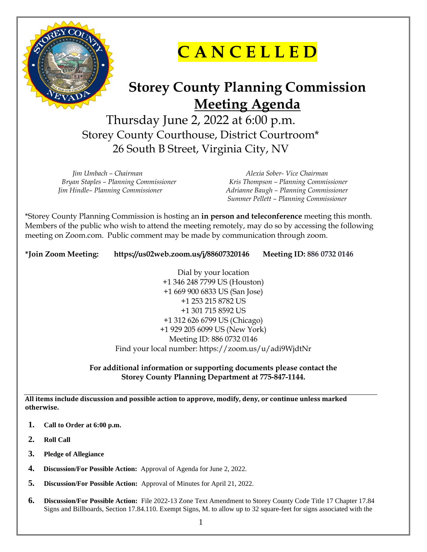

**C A N C E L L E D**

## **Storey County Planning Commission Meeting Agenda**

Thursday June 2, 2022 at 6:00 p.m. Storey County Courthouse, District Courtroom\* 26 South B Street, Virginia City, NV

*Jim Umbach – Chairman Alexia Sober- Vice Chairman*

 *Bryan Staples – Planning Commissioner Kris Thompson – Planning Commissioner Jim Hindle– Planning Commissioner Adrianne Baugh – Planning Commissioner Summer Pellett – Planning Commissioner*

\*Storey County Planning Commission is hosting an **in person and teleconference** meeting this month. Members of the public who wish to attend the meeting remotely, may do so by accessing the following meeting on Zoom.com. Public comment may be made by communication through zoom.

**\*Join Zoom Meeting: https://us02web.zoom.us/j/88607320146 Meeting ID: 886 0732 0146**

Dial by your location +1 346 248 7799 US (Houston) +1 669 900 6833 US (San Jose) +1 253 215 8782 US +1 301 715 8592 US +1 312 626 6799 US (Chicago) +1 929 205 6099 US (New York) Meeting ID: 886 0732 0146 Find your local number: https://zoom.us/u/adi9WjdtNr

**For additional information or supporting documents please contact the Storey County Planning Department at 775-847-1144.**

**All items include discussion and possible action to approve, modify, deny, or continue unless marked otherwise.**

- **1. Call to Order at 6:00 p.m.**
- **2. Roll Call**
- **3. Pledge of Allegiance**
- **4. Discussion/For Possible Action:** Approval of Agenda for June 2, 2022.
- **5. Discussion/For Possible Action:** Approval of Minutes for April 21, 2022.
- **6. Discussion/For Possible Action:** File 2022-13 Zone Text Amendment to Storey County Code Title 17 Chapter 17.84 Signs and Billboards, Section 17.84.110. Exempt Signs, M. to allow up to 32 square-feet for signs associated with the